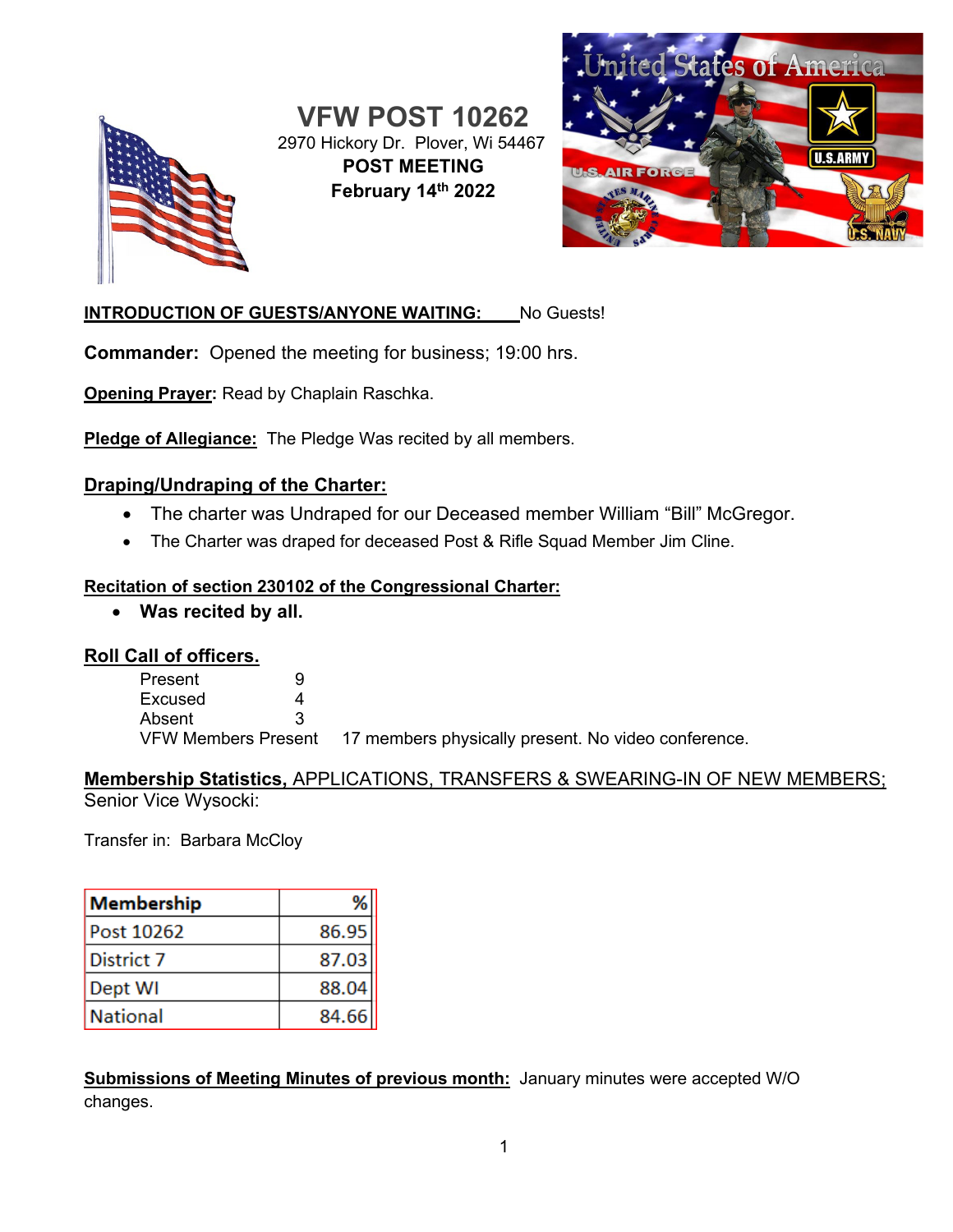

**VFW POST 10262** 2970 Hickory Dr. Plover, Wi 54467 **POST MEETING February 14th 2022**



### **INTRODUCTION OF GUESTS/ANYONE WAITING:** No Guests!

**Commander:** Opened the meeting for business; 19:00 hrs.

**Opening Prayer:** Read by Chaplain Raschka.

**Pledge of Allegiance:** The Pledge Was recited by all members.

#### **Draping/Undraping of the Charter:**

- The charter was Undraped for our Deceased member William "Bill" McGregor.
- The Charter was draped for deceased Post & Rifle Squad Member Jim Cline.

#### **Recitation of section 230102 of the Congressional Charter:**

• **Was recited by all.**

#### **Roll Call of officers.**

| Present | u |                                                                         |
|---------|---|-------------------------------------------------------------------------|
| Excused |   |                                                                         |
| Absent  |   |                                                                         |
|         |   | VFW Members Present 17 members physically present. No video conference. |

#### **Membership Statistics,** APPLICATIONS, TRANSFERS & SWEARING-IN OF NEW MEMBERS; Senior Vice Wysocki:

Transfer in: Barbara McCloy

| Membership        |       |
|-------------------|-------|
| Post 10262        | 86.95 |
| <b>District 7</b> | 87.03 |
| Dept WI           | 88.04 |
| National          | 84.66 |

**Submissions of Meeting Minutes of previous month:** January minutes were accepted W/O changes.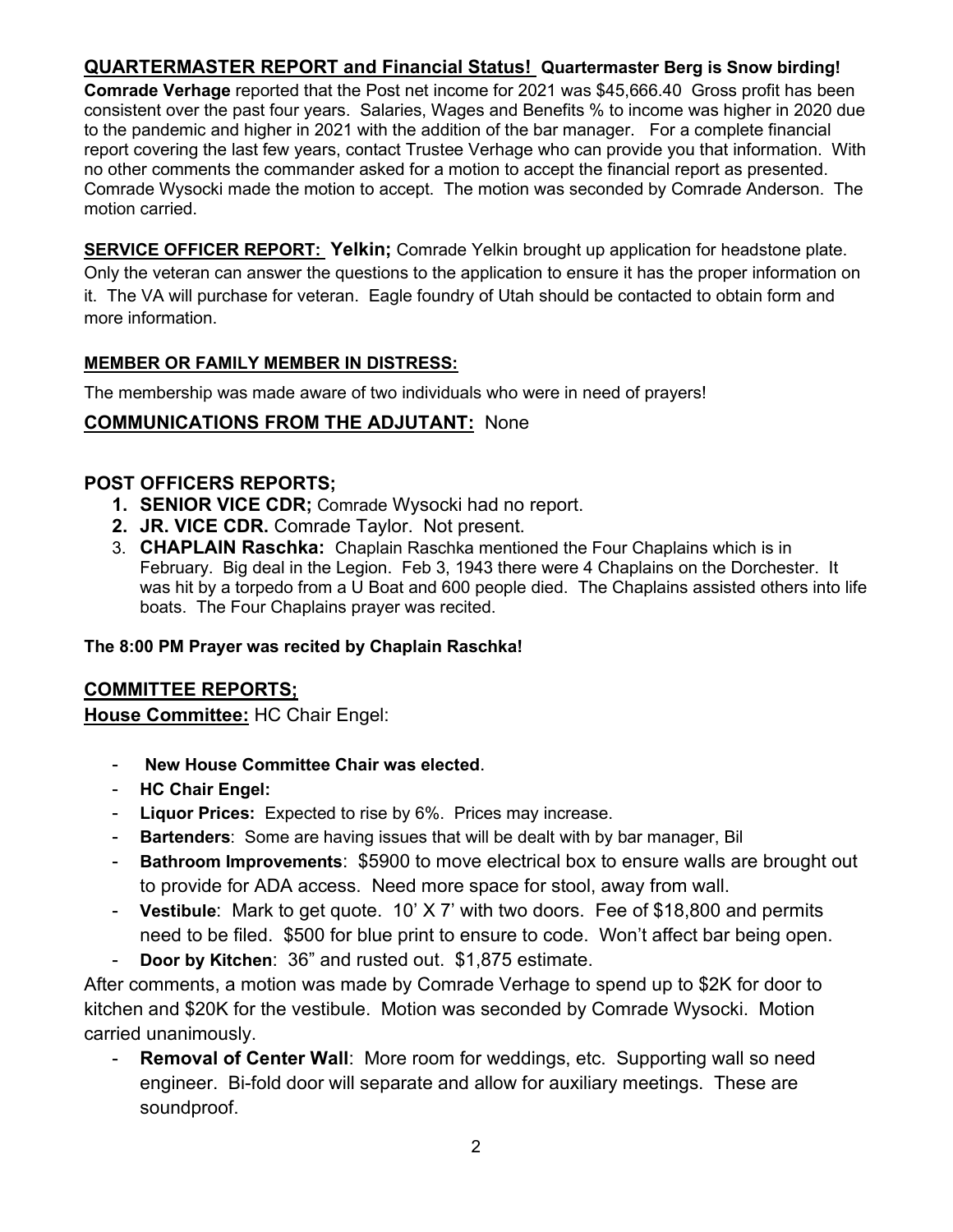## **QUARTERMASTER REPORT and Financial Status! Quartermaster Berg is Snow birding!**

**Comrade Verhage** reported that the Post net income for 2021 was \$45,666.40 Gross profit has been consistent over the past four years. Salaries, Wages and Benefits % to income was higher in 2020 due to the pandemic and higher in 2021 with the addition of the bar manager. For a complete financial report covering the last few years, contact Trustee Verhage who can provide you that information. With no other comments the commander asked for a motion to accept the financial report as presented. Comrade Wysocki made the motion to accept. The motion was seconded by Comrade Anderson. The motion carried.

**SERVICE OFFICER REPORT: Yelkin;** Comrade Yelkin brought up application for headstone plate. Only the veteran can answer the questions to the application to ensure it has the proper information on it. The VA will purchase for veteran. Eagle foundry of Utah should be contacted to obtain form and more information.

#### **MEMBER OR FAMILY MEMBER IN DISTRESS:**

The membership was made aware of two individuals who were in need of prayers!

## **COMMUNICATIONS FROM THE ADJUTANT:** None

### **POST OFFICERS REPORTS;**

- **1. SENIOR VICE CDR;** Comrade Wysocki had no report.
- **2. JR. VICE CDR.** Comrade Taylor. Not present.
- 3. **CHAPLAIN Raschka:** Chaplain Raschka mentioned the Four Chaplains which is in February. Big deal in the Legion. Feb 3, 1943 there were 4 Chaplains on the Dorchester. It was hit by a torpedo from a U Boat and 600 people died. The Chaplains assisted others into life boats. The Four Chaplains prayer was recited.

#### **The 8:00 PM Prayer was recited by Chaplain Raschka!**

### **COMMITTEE REPORTS;**

**House Committee:** HC Chair Engel:

- **New House Committee Chair was elected**.
- **HC Chair Engel:**
- Liquor Prices: Expected to rise by 6%. Prices may increase.
- **Bartenders**: Some are having issues that will be dealt with by bar manager, Bil
- **Bathroom Improvements: \$5900 to move electrical box to ensure walls are brought out** to provide for ADA access. Need more space for stool, away from wall.
- **Vestibule**: Mark to get quote. 10' X 7' with two doors. Fee of \$18,800 and permits need to be filed. \$500 for blue print to ensure to code. Won't affect bar being open.
- **Door by Kitchen**: 36" and rusted out. \$1,875 estimate.

After comments, a motion was made by Comrade Verhage to spend up to \$2K for door to kitchen and \$20K for the vestibule. Motion was seconded by Comrade Wysocki. Motion carried unanimously.

**Removal of Center Wall:** More room for weddings, etc. Supporting wall so need engineer. Bi-fold door will separate and allow for auxiliary meetings. These are soundproof.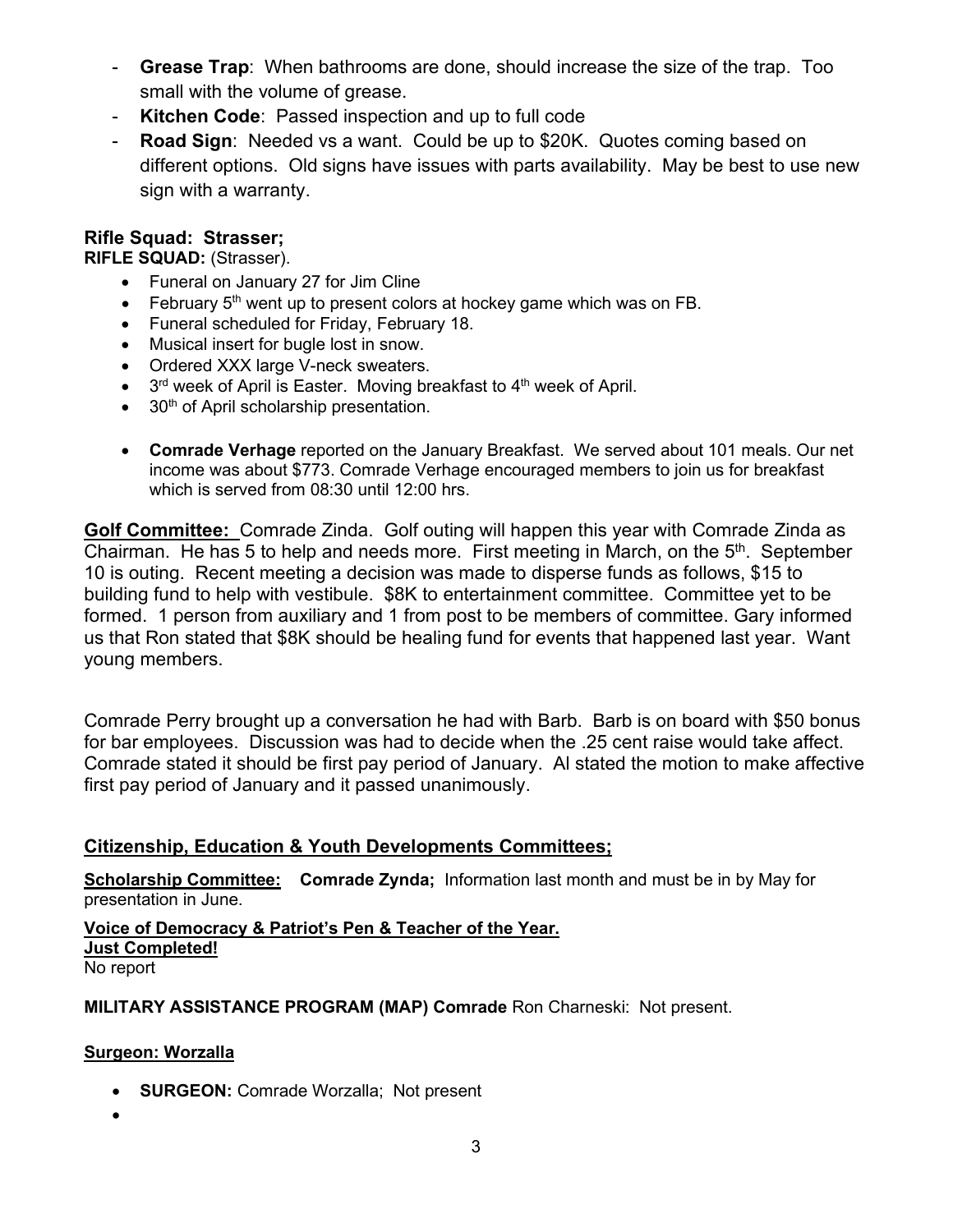- **Grease Trap**: When bathrooms are done, should increase the size of the trap. Too small with the volume of grease.
- **Kitchen Code**: Passed inspection and up to full code
- **Road Sign:** Needed vs a want. Could be up to \$20K. Quotes coming based on different options. Old signs have issues with parts availability. May be best to use new sign with a warranty.

### **Rifle Squad: Strasser;**

**RIFLE SQUAD:** (Strasser).

- Funeral on January 27 for Jim Cline
- February  $5<sup>th</sup>$  went up to present colors at hockey game which was on FB.
- Funeral scheduled for Friday, February 18.
- Musical insert for bugle lost in snow.
- Ordered XXX large V-neck sweaters.
- $\bullet$  3<sup>rd</sup> week of April is Easter. Moving breakfast to 4<sup>th</sup> week of April.
- 30<sup>th</sup> of April scholarship presentation.
- **Comrade Verhage** reported on the January Breakfast. We served about 101 meals. Our net income was about \$773. Comrade Verhage encouraged members to join us for breakfast which is served from 08:30 until 12:00 hrs.

**Golf Committee:** Comrade Zinda. Golf outing will happen this year with Comrade Zinda as Chairman. He has 5 to help and needs more. First meeting in March, on the  $5<sup>th</sup>$ . September 10 is outing. Recent meeting a decision was made to disperse funds as follows, \$15 to building fund to help with vestibule. \$8K to entertainment committee. Committee yet to be formed. 1 person from auxiliary and 1 from post to be members of committee. Gary informed us that Ron stated that \$8K should be healing fund for events that happened last year. Want young members.

Comrade Perry brought up a conversation he had with Barb. Barb is on board with \$50 bonus for bar employees. Discussion was had to decide when the .25 cent raise would take affect. Comrade stated it should be first pay period of January. Al stated the motion to make affective first pay period of January and it passed unanimously.

### **Citizenship, Education & Youth Developments Committees;**

**Scholarship Committee: Comrade Zynda;** Information last month and must be in by May for presentation in June.

**Voice of Democracy & Patriot's Pen & Teacher of the Year. Just Completed!** No report

**MILITARY ASSISTANCE PROGRAM (MAP) Comrade** Ron Charneski: Not present.

#### **Surgeon: Worzalla**

- **SURGEON:** Comrade Worzalla; Not present
- •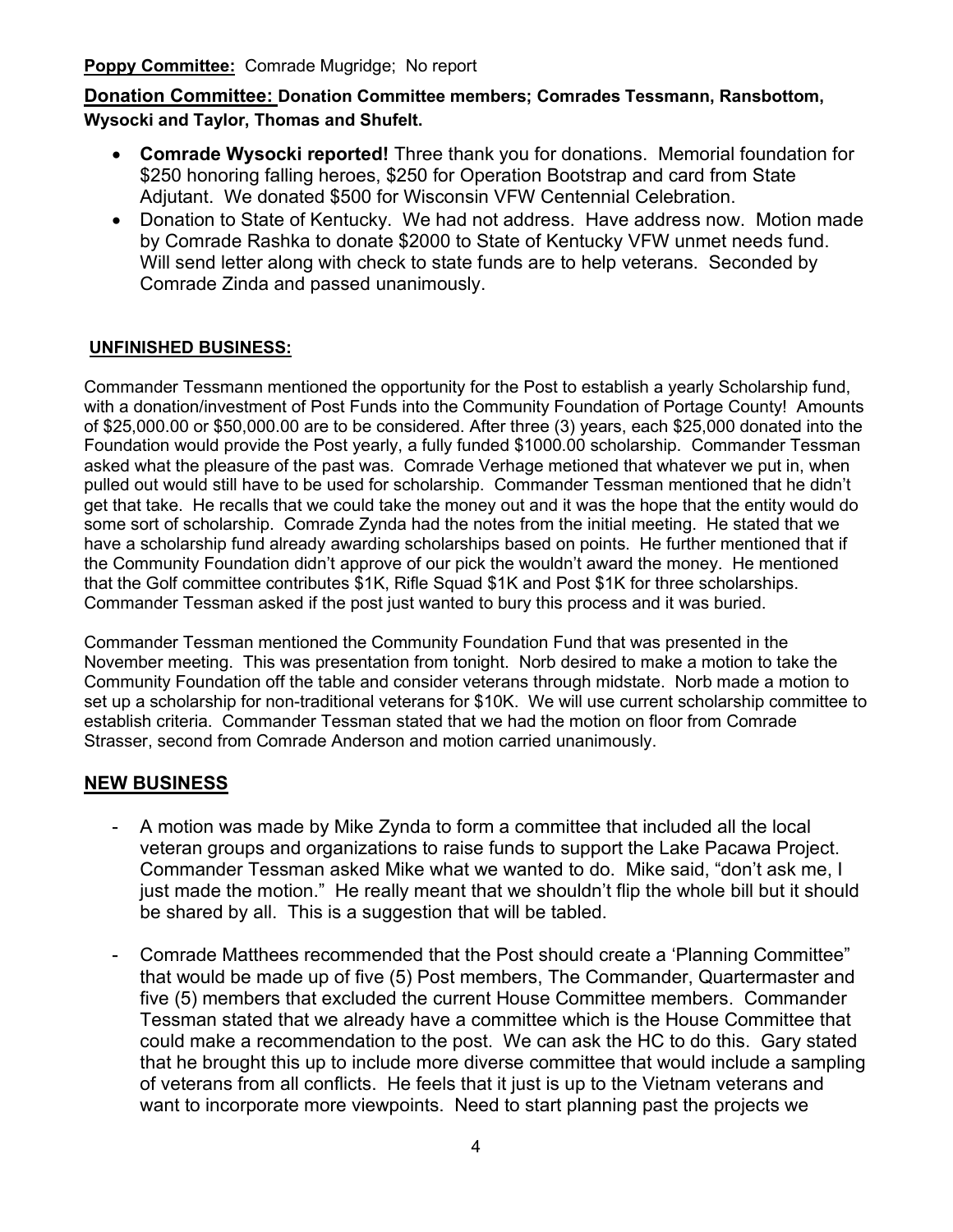**Poppy Committee:** Comrade Mugridge; No report

**Donation Committee: Donation Committee members; Comrades Tessmann, Ransbottom, Wysocki and Taylor, Thomas and Shufelt.**

- **Comrade Wysocki reported!** Three thank you for donations. Memorial foundation for \$250 honoring falling heroes, \$250 for Operation Bootstrap and card from State Adjutant. We donated \$500 for Wisconsin VFW Centennial Celebration.
- Donation to State of Kentucky. We had not address. Have address now. Motion made by Comrade Rashka to donate \$2000 to State of Kentucky VFW unmet needs fund. Will send letter along with check to state funds are to help veterans. Seconded by Comrade Zinda and passed unanimously.

#### **UNFINISHED BUSINESS:**

Commander Tessmann mentioned the opportunity for the Post to establish a yearly Scholarship fund, with a donation/investment of Post Funds into the Community Foundation of Portage County! Amounts of \$25,000.00 or \$50,000.00 are to be considered. After three (3) years, each \$25,000 donated into the Foundation would provide the Post yearly, a fully funded \$1000.00 scholarship. Commander Tessman asked what the pleasure of the past was. Comrade Verhage metioned that whatever we put in, when pulled out would still have to be used for scholarship. Commander Tessman mentioned that he didn't get that take. He recalls that we could take the money out and it was the hope that the entity would do some sort of scholarship. Comrade Zynda had the notes from the initial meeting. He stated that we have a scholarship fund already awarding scholarships based on points. He further mentioned that if the Community Foundation didn't approve of our pick the wouldn't award the money. He mentioned that the Golf committee contributes \$1K, Rifle Squad \$1K and Post \$1K for three scholarships. Commander Tessman asked if the post just wanted to bury this process and it was buried.

Commander Tessman mentioned the Community Foundation Fund that was presented in the November meeting. This was presentation from tonight. Norb desired to make a motion to take the Community Foundation off the table and consider veterans through midstate. Norb made a motion to set up a scholarship for non-traditional veterans for \$10K. We will use current scholarship committee to establish criteria. Commander Tessman stated that we had the motion on floor from Comrade Strasser, second from Comrade Anderson and motion carried unanimously.

#### **NEW BUSINESS**

- A motion was made by Mike Zynda to form a committee that included all the local veteran groups and organizations to raise funds to support the Lake Pacawa Project. Commander Tessman asked Mike what we wanted to do. Mike said, "don't ask me, I just made the motion." He really meant that we shouldn't flip the whole bill but it should be shared by all. This is a suggestion that will be tabled.
- Comrade Matthees recommended that the Post should create a 'Planning Committee" that would be made up of five (5) Post members, The Commander, Quartermaster and five (5) members that excluded the current House Committee members. Commander Tessman stated that we already have a committee which is the House Committee that could make a recommendation to the post. We can ask the HC to do this. Gary stated that he brought this up to include more diverse committee that would include a sampling of veterans from all conflicts. He feels that it just is up to the Vietnam veterans and want to incorporate more viewpoints. Need to start planning past the projects we